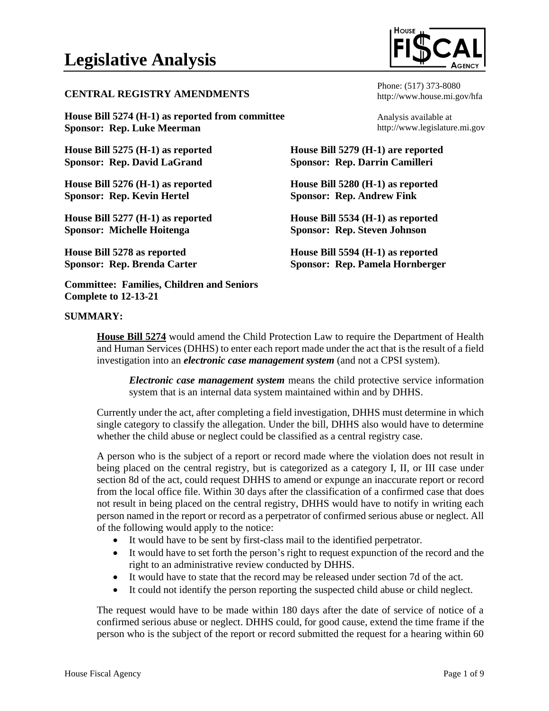#### **CENTRAL REGISTRY AMENDMENTS**

**House Bill 5274 (H-1) as reported from committee Sponsor: Rep. Luke Meerman**

**House Bill 5275 (H-1) as reported Sponsor: Rep. David LaGrand**

**House Bill 5276 (H-1) as reported Sponsor: Rep. Kevin Hertel**

**House Bill 5277 (H-1) as reported Sponsor: Michelle Hoitenga**

**House Bill 5278 as reported Sponsor: Rep. Brenda Carter**

**Committee: Families, Children and Seniors Complete to 12-13-21**

### **SUMMARY:**

Phone: (517) 373-8080 http://www.house.mi.gov/hfa

Analysis available at http://www.legislature.mi.gov

**House Bill 5279 (H-1) are reported Sponsor: Rep. Darrin Camilleri**

**House Bill 5280 (H-1) as reported Sponsor: Rep. Andrew Fink**

**House Bill 5534 (H-1) as reported Sponsor: Rep. Steven Johnson**

**House Bill 5594 (H-1) as reported Sponsor: Rep. Pamela Hornberger**

**House Bill 5274** would amend the Child Protection Law to require the Department of Health and Human Services (DHHS) to enter each report made under the act that is the result of a field investigation into an *electronic case management system* (and not a CPSI system).

*Electronic case management system* means the child protective service information system that is an internal data system maintained within and by DHHS.

Currently under the act, after completing a field investigation, DHHS must determine in which single category to classify the allegation. Under the bill, DHHS also would have to determine whether the child abuse or neglect could be classified as a central registry case.

A person who is the subject of a report or record made where the violation does not result in being placed on the central registry, but is categorized as a category I, II, or III case under section 8d of the act, could request DHHS to amend or expunge an inaccurate report or record from the local office file. Within 30 days after the classification of a confirmed case that does not result in being placed on the central registry, DHHS would have to notify in writing each person named in the report or record as a perpetrator of confirmed serious abuse or neglect. All of the following would apply to the notice:

- It would have to be sent by first-class mail to the identified perpetrator.
- It would have to set forth the person's right to request expunction of the record and the right to an administrative review conducted by DHHS.
- It would have to state that the record may be released under section 7d of the act.
- It could not identify the person reporting the suspected child abuse or child neglect.

The request would have to be made within 180 days after the date of service of notice of a confirmed serious abuse or neglect. DHHS could, for good cause, extend the time frame if the person who is the subject of the report or record submitted the request for a hearing within 60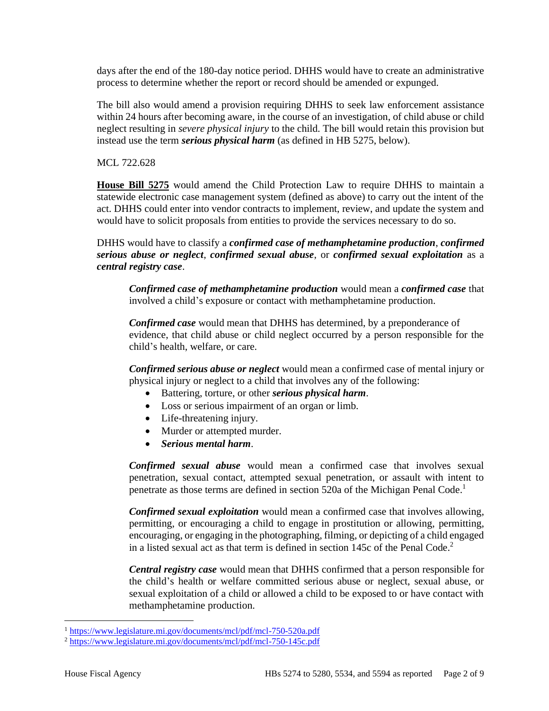days after the end of the 180-day notice period. DHHS would have to create an administrative process to determine whether the report or record should be amended or expunged.

The bill also would amend a provision requiring DHHS to seek law enforcement assistance within 24 hours after becoming aware, in the course of an investigation, of child abuse or child neglect resulting in *severe physical injury* to the child. The bill would retain this provision but instead use the term *serious physical harm* (as defined in HB 5275, below).

MCL 722.628

**House Bill 5275** would amend the Child Protection Law to require DHHS to maintain a statewide electronic case management system (defined as above) to carry out the intent of the act. DHHS could enter into vendor contracts to implement, review, and update the system and would have to solicit proposals from entities to provide the services necessary to do so.

DHHS would have to classify a *confirmed case of methamphetamine production*, *confirmed serious abuse or neglect*, *confirmed sexual abuse*, or *confirmed sexual exploitation* as a *central registry case*.

*Confirmed case of methamphetamine production* would mean a *confirmed case* that involved a child's exposure or contact with methamphetamine production.

*Confirmed case* would mean that DHHS has determined, by a preponderance of evidence, that child abuse or child neglect occurred by a person responsible for the child's health, welfare, or care.

*Confirmed serious abuse or neglect* would mean a confirmed case of mental injury or physical injury or neglect to a child that involves any of the following:

- Battering, torture, or other *serious physical harm*.
- Loss or serious impairment of an organ or limb.
- Life-threatening injury.
- Murder or attempted murder.
- *Serious mental harm*.

*Confirmed sexual abuse* would mean a confirmed case that involves sexual penetration, sexual contact, attempted sexual penetration, or assault with intent to penetrate as those terms are defined in section 520a of the Michigan Penal Code. 1

*Confirmed sexual exploitation* would mean a confirmed case that involves allowing, permitting, or encouraging a child to engage in prostitution or allowing, permitting, encouraging, or engaging in the photographing, filming, or depicting of a child engaged in a listed sexual act as that term is defined in section 145c of the Penal Code. 2

*Central registry case* would mean that DHHS confirmed that a person responsible for the child's health or welfare committed serious abuse or neglect, sexual abuse, or sexual exploitation of a child or allowed a child to be exposed to or have contact with methamphetamine production.

<sup>1</sup> <https://www.legislature.mi.gov/documents/mcl/pdf/mcl-750-520a.pdf>

<sup>2</sup> <https://www.legislature.mi.gov/documents/mcl/pdf/mcl-750-145c.pdf>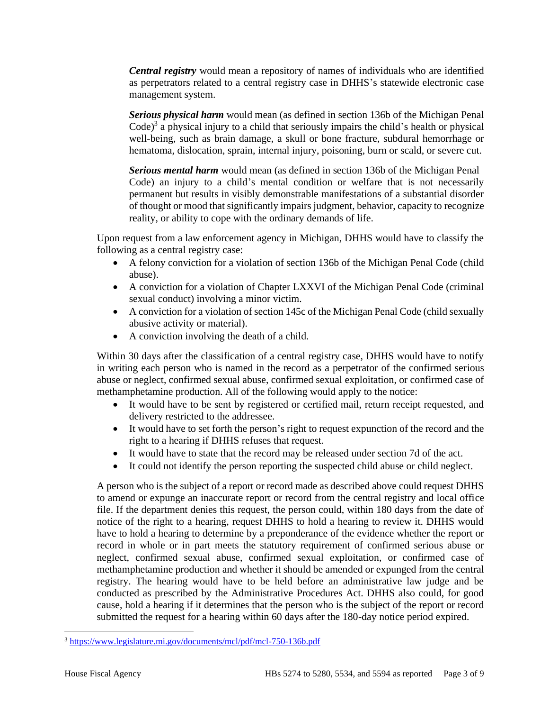*Central registry* would mean a repository of names of individuals who are identified as perpetrators related to a central registry case in DHHS's statewide electronic case management system.

*Serious physical harm* would mean (as defined in section 136b of the Michigan Penal Code)<sup>3</sup> a physical injury to a child that seriously impairs the child's health or physical well-being, such as brain damage, a skull or bone fracture, subdural hemorrhage or hematoma, dislocation, sprain, internal injury, poisoning, burn or scald, or severe cut.

*Serious mental harm* would mean (as defined in section 136b of the Michigan Penal Code) an injury to a child's mental condition or welfare that is not necessarily permanent but results in visibly demonstrable manifestations of a substantial disorder of thought or mood that significantly impairs judgment, behavior, capacity to recognize reality, or ability to cope with the ordinary demands of life.

Upon request from a law enforcement agency in Michigan, DHHS would have to classify the following as a central registry case:

- A felony conviction for a violation of section 136b of the Michigan Penal Code (child abuse).
- A conviction for a violation of Chapter LXXVI of the Michigan Penal Code (criminal sexual conduct) involving a minor victim.
- A conviction for a violation of section 145c of the Michigan Penal Code (child sexually abusive activity or material).
- A conviction involving the death of a child.

Within 30 days after the classification of a central registry case, DHHS would have to notify in writing each person who is named in the record as a perpetrator of the confirmed serious abuse or neglect, confirmed sexual abuse, confirmed sexual exploitation, or confirmed case of methamphetamine production. All of the following would apply to the notice:

- It would have to be sent by registered or certified mail, return receipt requested, and delivery restricted to the addressee.
- It would have to set forth the person's right to request expunction of the record and the right to a hearing if DHHS refuses that request.
- It would have to state that the record may be released under section 7d of the act.
- It could not identify the person reporting the suspected child abuse or child neglect.

A person who is the subject of a report or record made as described above could request DHHS to amend or expunge an inaccurate report or record from the central registry and local office file. If the department denies this request, the person could, within 180 days from the date of notice of the right to a hearing, request DHHS to hold a hearing to review it. DHHS would have to hold a hearing to determine by a preponderance of the evidence whether the report or record in whole or in part meets the statutory requirement of confirmed serious abuse or neglect, confirmed sexual abuse, confirmed sexual exploitation, or confirmed case of methamphetamine production and whether it should be amended or expunged from the central registry. The hearing would have to be held before an administrative law judge and be conducted as prescribed by the Administrative Procedures Act. DHHS also could, for good cause, hold a hearing if it determines that the person who is the subject of the report or record submitted the request for a hearing within 60 days after the 180-day notice period expired.

<sup>3</sup> <https://www.legislature.mi.gov/documents/mcl/pdf/mcl-750-136b.pdf>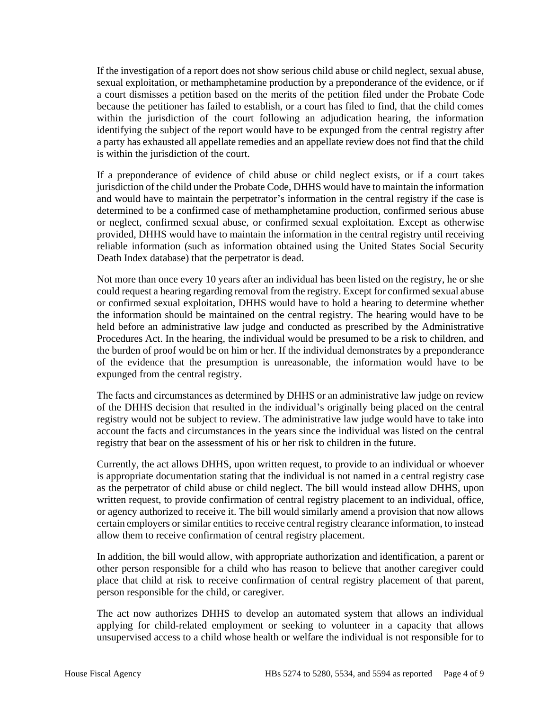If the investigation of a report does not show serious child abuse or child neglect, sexual abuse, sexual exploitation, or methamphetamine production by a preponderance of the evidence, or if a court dismisses a petition based on the merits of the petition filed under the Probate Code because the petitioner has failed to establish, or a court has filed to find, that the child comes within the jurisdiction of the court following an adjudication hearing, the information identifying the subject of the report would have to be expunged from the central registry after a party has exhausted all appellate remedies and an appellate review does not find that the child is within the jurisdiction of the court.

If a preponderance of evidence of child abuse or child neglect exists, or if a court takes jurisdiction of the child under the Probate Code, DHHS would have to maintain the information and would have to maintain the perpetrator's information in the central registry if the case is determined to be a confirmed case of methamphetamine production, confirmed serious abuse or neglect, confirmed sexual abuse, or confirmed sexual exploitation. Except as otherwise provided, DHHS would have to maintain the information in the central registry until receiving reliable information (such as information obtained using the United States Social Security Death Index database) that the perpetrator is dead.

Not more than once every 10 years after an individual has been listed on the registry, he or she could request a hearing regarding removal from the registry. Except for confirmed sexual abuse or confirmed sexual exploitation, DHHS would have to hold a hearing to determine whether the information should be maintained on the central registry. The hearing would have to be held before an administrative law judge and conducted as prescribed by the Administrative Procedures Act. In the hearing, the individual would be presumed to be a risk to children, and the burden of proof would be on him or her. If the individual demonstrates by a preponderance of the evidence that the presumption is unreasonable, the information would have to be expunged from the central registry.

The facts and circumstances as determined by DHHS or an administrative law judge on review of the DHHS decision that resulted in the individual's originally being placed on the central registry would not be subject to review. The administrative law judge would have to take into account the facts and circumstances in the years since the individual was listed on the central registry that bear on the assessment of his or her risk to children in the future.

Currently, the act allows DHHS, upon written request, to provide to an individual or whoever is appropriate documentation stating that the individual is not named in a central registry case as the perpetrator of child abuse or child neglect. The bill would instead allow DHHS, upon written request, to provide confirmation of central registry placement to an individual, office, or agency authorized to receive it. The bill would similarly amend a provision that now allows certain employers or similar entities to receive central registry clearance information, to instead allow them to receive confirmation of central registry placement.

In addition, the bill would allow, with appropriate authorization and identification, a parent or other person responsible for a child who has reason to believe that another caregiver could place that child at risk to receive confirmation of central registry placement of that parent, person responsible for the child, or caregiver.

The act now authorizes DHHS to develop an automated system that allows an individual applying for child-related employment or seeking to volunteer in a capacity that allows unsupervised access to a child whose health or welfare the individual is not responsible for to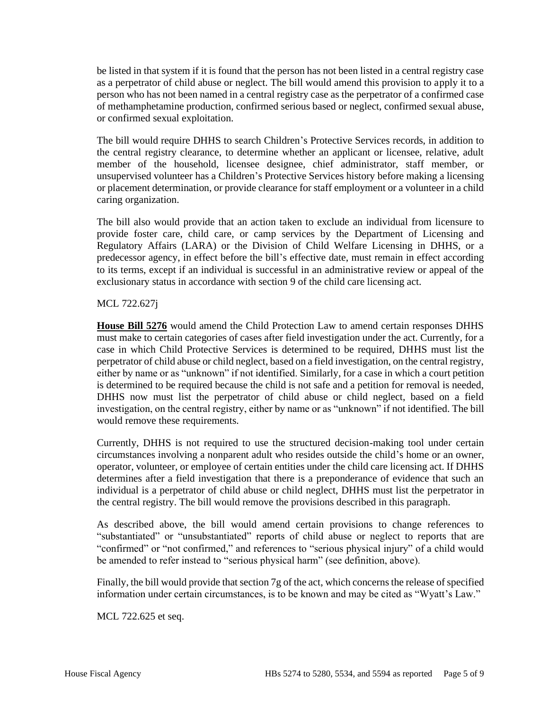be listed in that system if it is found that the person has not been listed in a central registry case as a perpetrator of child abuse or neglect. The bill would amend this provision to apply it to a person who has not been named in a central registry case as the perpetrator of a confirmed case of methamphetamine production, confirmed serious based or neglect, confirmed sexual abuse, or confirmed sexual exploitation.

The bill would require DHHS to search Children's Protective Services records, in addition to the central registry clearance, to determine whether an applicant or licensee, relative, adult member of the household, licensee designee, chief administrator, staff member, or unsupervised volunteer has a Children's Protective Services history before making a licensing or placement determination, or provide clearance for staff employment or a volunteer in a child caring organization.

The bill also would provide that an action taken to exclude an individual from licensure to provide foster care, child care, or camp services by the Department of Licensing and Regulatory Affairs (LARA) or the Division of Child Welfare Licensing in DHHS, or a predecessor agency, in effect before the bill's effective date, must remain in effect according to its terms, except if an individual is successful in an administrative review or appeal of the exclusionary status in accordance with section 9 of the child care licensing act.

#### MCL 722.627j

**House Bill 5276** would amend the Child Protection Law to amend certain responses DHHS must make to certain categories of cases after field investigation under the act. Currently, for a case in which Child Protective Services is determined to be required, DHHS must list the perpetrator of child abuse or child neglect, based on a field investigation, on the central registry, either by name or as "unknown" if not identified. Similarly, for a case in which a court petition is determined to be required because the child is not safe and a petition for removal is needed, DHHS now must list the perpetrator of child abuse or child neglect, based on a field investigation, on the central registry, either by name or as "unknown" if not identified. The bill would remove these requirements.

Currently, DHHS is not required to use the structured decision-making tool under certain circumstances involving a nonparent adult who resides outside the child's home or an owner, operator, volunteer, or employee of certain entities under the child care licensing act. If DHHS determines after a field investigation that there is a preponderance of evidence that such an individual is a perpetrator of child abuse or child neglect, DHHS must list the perpetrator in the central registry. The bill would remove the provisions described in this paragraph.

As described above, the bill would amend certain provisions to change references to "substantiated" or "unsubstantiated" reports of child abuse or neglect to reports that are "confirmed" or "not confirmed," and references to "serious physical injury" of a child would be amended to refer instead to "serious physical harm" (see definition, above).

Finally, the bill would provide that section 7g of the act, which concerns the release of specified information under certain circumstances, is to be known and may be cited as "Wyatt's Law."

MCL 722.625 et seq.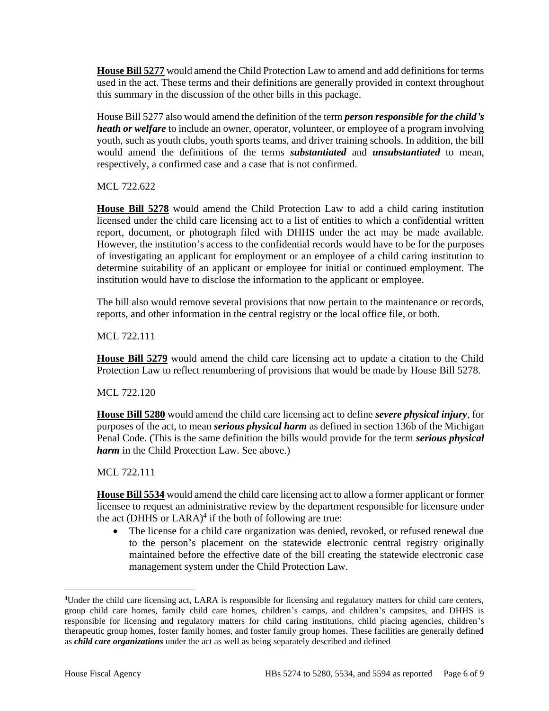**House Bill 5277** would amend the Child Protection Law to amend and add definitions for terms used in the act. These terms and their definitions are generally provided in context throughout this summary in the discussion of the other bills in this package.

House Bill 5277 also would amend the definition of the term *person responsible for the child's heath or welfare* to include an owner, operator, volunteer, or employee of a program involving youth, such as youth clubs, youth sports teams, and driver training schools. In addition, the bill would amend the definitions of the terms *substantiated* and *unsubstantiated* to mean, respectively, a confirmed case and a case that is not confirmed.

MCL 722.622

**House Bill 5278** would amend the Child Protection Law to add a child caring institution licensed under the child care licensing act to a list of entities to which a confidential written report, document, or photograph filed with DHHS under the act may be made available. However, the institution's access to the confidential records would have to be for the purposes of investigating an applicant for employment or an employee of a child caring institution to determine suitability of an applicant or employee for initial or continued employment. The institution would have to disclose the information to the applicant or employee.

The bill also would remove several provisions that now pertain to the maintenance or records, reports, and other information in the central registry or the local office file, or both.

MCL 722.111

**House Bill 5279** would amend the child care licensing act to update a citation to the Child Protection Law to reflect renumbering of provisions that would be made by House Bill 5278.

MCL 722.120

**House Bill 5280** would amend the child care licensing act to define *severe physical injury*, for purposes of the act, to mean *serious physical harm* as defined in section 136b of the Michigan Penal Code. (This is the same definition the bills would provide for the term *serious physical harm* in the Child Protection Law. See above.)

MCL 722.111

**House Bill 5534** would amend the child care licensing act to allow a former applicant or former licensee to request an administrative review by the department responsible for licensure under the act (DHHS or LARA)<sup>4</sup> if the both of following are true:

The license for a child care organization was denied, revoked, or refused renewal due to the person's placement on the statewide electronic central registry originally maintained before the effective date of the bill creating the statewide electronic case management system under the Child Protection Law.

<sup>4</sup>Under the child care licensing act, LARA is responsible for licensing and regulatory matters for child care centers, group child care homes, family child care homes, children's camps, and children's campsites, and DHHS is responsible for licensing and regulatory matters for child caring institutions, child placing agencies, children's therapeutic group homes, foster family homes, and foster family group homes. These facilities are generally defined as *child care organizations* under the act as well as being separately described and defined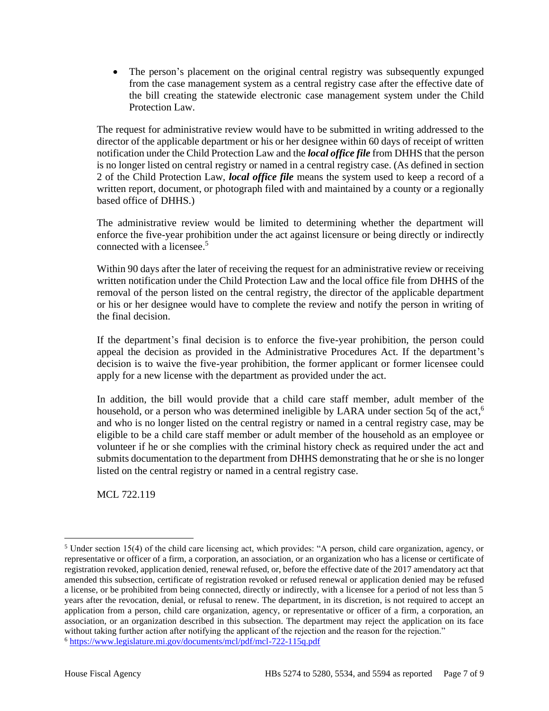• The person's placement on the original central registry was subsequently expunged from the case management system as a central registry case after the effective date of the bill creating the statewide electronic case management system under the Child Protection Law.

The request for administrative review would have to be submitted in writing addressed to the director of the applicable department or his or her designee within 60 days of receipt of written notification under the Child Protection Law and the *local office file* from DHHS that the person is no longer listed on central registry or named in a central registry case. (As defined in section 2 of the Child Protection Law, *local office file* means the system used to keep a record of a written report, document, or photograph filed with and maintained by a county or a regionally based office of DHHS.)

The administrative review would be limited to determining whether the department will enforce the five-year prohibition under the act against licensure or being directly or indirectly connected with a licensee. 5

Within 90 days after the later of receiving the request for an administrative review or receiving written notification under the Child Protection Law and the local office file from DHHS of the removal of the person listed on the central registry, the director of the applicable department or his or her designee would have to complete the review and notify the person in writing of the final decision.

If the department's final decision is to enforce the five-year prohibition, the person could appeal the decision as provided in the Administrative Procedures Act. If the department's decision is to waive the five-year prohibition, the former applicant or former licensee could apply for a new license with the department as provided under the act.

In addition, the bill would provide that a child care staff member, adult member of the household, or a person who was determined ineligible by LARA under section 5q of the act,<sup>6</sup> and who is no longer listed on the central registry or named in a central registry case, may be eligible to be a child care staff member or adult member of the household as an employee or volunteer if he or she complies with the criminal history check as required under the act and submits documentation to the department from DHHS demonstrating that he or she is no longer listed on the central registry or named in a central registry case.

MCL 722.119

<sup>5</sup> Under section 15(4) of the child care licensing act, which provides: "A person, child care organization, agency, or representative or officer of a firm, a corporation, an association, or an organization who has a license or certificate of registration revoked, application denied, renewal refused, or, before the effective date of the 2017 amendatory act that amended this subsection, certificate of registration revoked or refused renewal or application denied may be refused a license, or be prohibited from being connected, directly or indirectly, with a licensee for a period of not less than 5 years after the revocation, denial, or refusal to renew. The department, in its discretion, is not required to accept an application from a person, child care organization, agency, or representative or officer of a firm, a corporation, an association, or an organization described in this subsection. The department may reject the application on its face without taking further action after notifying the applicant of the rejection and the reason for the rejection."

<sup>6</sup> <https://www.legislature.mi.gov/documents/mcl/pdf/mcl-722-115q.pdf>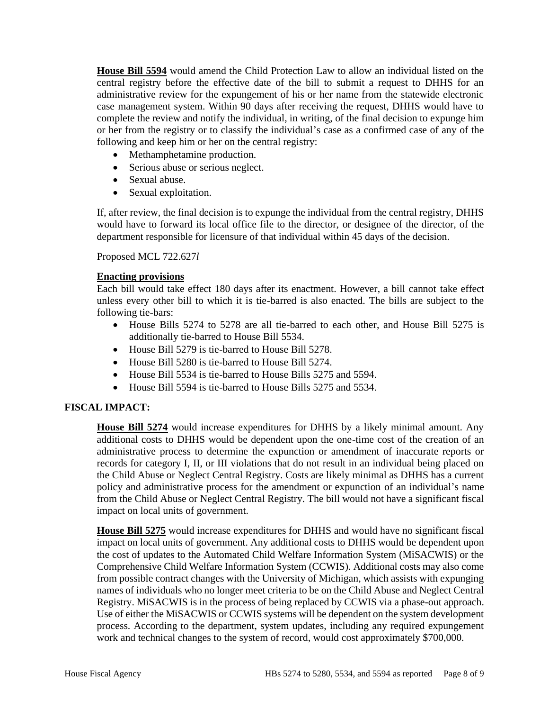**House Bill 5594** would amend the Child Protection Law to allow an individual listed on the central registry before the effective date of the bill to submit a request to DHHS for an administrative review for the expungement of his or her name from the statewide electronic case management system. Within 90 days after receiving the request, DHHS would have to complete the review and notify the individual, in writing, of the final decision to expunge him or her from the registry or to classify the individual's case as a confirmed case of any of the following and keep him or her on the central registry:

- Methamphetamine production.
- Serious abuse or serious neglect.
- Sexual abuse.
- Sexual exploitation.

If, after review, the final decision is to expunge the individual from the central registry, DHHS would have to forward its local office file to the director, or designee of the director, of the department responsible for licensure of that individual within 45 days of the decision.

Proposed MCL 722.627*l*

## **Enacting provisions**

Each bill would take effect 180 days after its enactment. However, a bill cannot take effect unless every other bill to which it is tie-barred is also enacted. The bills are subject to the following tie-bars:

- House Bills 5274 to 5278 are all tie-barred to each other, and House Bill 5275 is additionally tie-barred to House Bill 5534.
- House Bill 5279 is tie-barred to House Bill 5278.
- House Bill 5280 is tie-barred to House Bill 5274.
- House Bill 5534 is tie-barred to House Bills 5275 and 5594.
- House Bill 5594 is tie-barred to House Bills 5275 and 5534.

# **FISCAL IMPACT:**

**House Bill 5274** would increase expenditures for DHHS by a likely minimal amount. Any additional costs to DHHS would be dependent upon the one-time cost of the creation of an administrative process to determine the expunction or amendment of inaccurate reports or records for category I, II, or III violations that do not result in an individual being placed on the Child Abuse or Neglect Central Registry. Costs are likely minimal as DHHS has a current policy and administrative process for the amendment or expunction of an individual's name from the Child Abuse or Neglect Central Registry. The bill would not have a significant fiscal impact on local units of government.

**House Bill 5275** would increase expenditures for DHHS and would have no significant fiscal impact on local units of government. Any additional costs to DHHS would be dependent upon the cost of updates to the Automated Child Welfare Information System (MiSACWIS) or the Comprehensive Child Welfare Information System (CCWIS). Additional costs may also come from possible contract changes with the University of Michigan, which assists with expunging names of individuals who no longer meet criteria to be on the Child Abuse and Neglect Central Registry. MiSACWIS is in the process of being replaced by CCWIS via a phase-out approach. Use of either the MiSACWIS or CCWIS systems will be dependent on the system development process. According to the department, system updates, including any required expungement work and technical changes to the system of record, would cost approximately \$700,000.